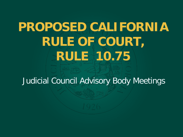# **PROPOSED CALIFORNIA RULE OF COURT, RULE 10.75**

Judicial Council Advisory Body Meetings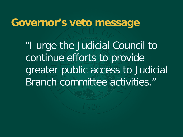#### **Governor's veto message**

 "I urge the Judicial Council to continue efforts to provide greater public access to Judicial Branch committee activities."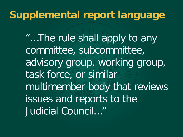#### **Supplemental report language**

"…The rule shall apply to any committee, subcommittee, advisory group, working group, task force, or similar multimember body that reviews issues and reports to the Judicial Council…"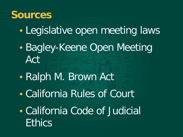#### **Sources**

- Legislative open meeting laws
- Bagley-Keene Open Meeting Act
- Ralph M. Brown Act
- California Rules of Court
- California Code of Judicial **Ethics**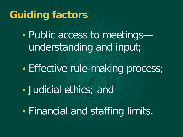# **Guiding factors**

• Public access to meetings understanding and input;

• Effective rule-making process;

• Judicial ethics; and

• Financial and staffing limits.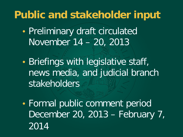## **Public and stakeholder input**

- Preliminary draft circulated November 14 – 20, 2013
- Briefings with legislative staff, news media, and judicial branch stakeholders
- Formal public comment period December 20, 2013 – February 7, 2014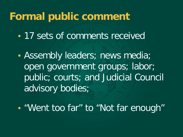#### **Formal public comment**

- 17 sets of comments received
- Assembly leaders; news media; open government groups; labor; public; courts; and Judicial Council advisory bodies;
- "Went too far" to "Not far enough"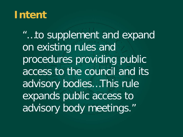#### **Intent**

"…to supplement and expand on existing rules and procedures providing public access to the council and its advisory bodies…This rule expands public access to advisory body meetings."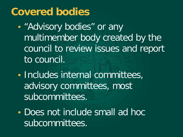#### **Covered bodies**

- "Advisory bodies" or any multimember body created by the council to review issues and report to council.
- Includes internal committees, advisory committees, most subcommittees.
- Does not include small ad hoc subcommittees.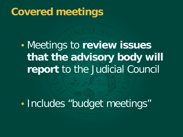### **Covered meetings**

• Meetings to **review issues that the advisory body will report** to the Judicial Council

• Includes "budget meetings"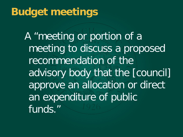# **Budget meetings**

A "meeting or portion of a meeting to discuss a proposed recommendation of the advisory body that the [council] approve an allocation or direct an expenditure of public funds."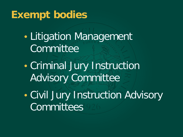# **Exempt bodies**

- Litigation Management **Committee**
- Criminal Jury Instruction Advisory Committee
- Civil Jury Instruction Advisory **Committees**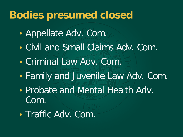## **Bodies presumed closed**

- Appellate Adv. Com.
- Civil and Small Claims Adv. Com.
- Criminal Law Adv. Com.
- Family and Juvenile Law Adv. Com.
- Probate and Mental Health Adv. Com.
- Traffic Adv. Com.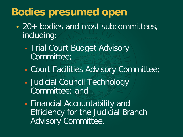# **Bodies presumed open**

- 20+ bodies and most subcommittees, including:
	- Trial Court Budget Advisory Committee;
	- Court Facilities Advisory Committee;
	- Judicial Council Technology Committee; and
	- Financial Accountability and Efficiency for the Judicial Branch Advisory Committee.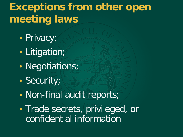# **Exceptions from other open meeting laws**

- Privacy;
- Litigation;
- Negotiations;
- Security;
- Non-final audit reports;
- Trade secrets, privileged, or confidential information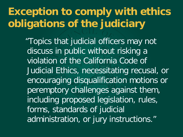# **Exception to comply with ethics obligations of the judiciary**

 "Topics that judicial officers may not discuss in public without risking a violation of the California Code of Judicial Ethics, necessitating recusal, or encouraging disqualification motions or peremptory challenges against them, including proposed legislation, rules, forms, standards of judicial administration, or jury instructions."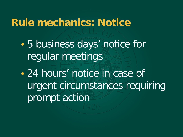#### **Rule mechanics: Notice**

- 5 business days' notice for regular meetings
- 24 hours' notice in case of urgent circumstances requiring prompt action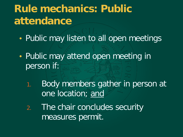# **Rule mechanics: Public attendance**

- Public may listen to all open meetings
- Public may attend open meeting in person if:
	- 1. Body members gather in person at one location; and
	- 2. The chair concludes security measures permit.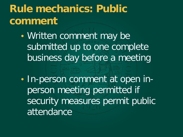# **Rule mechanics: Public comment**

- Written comment may be submitted up to one complete business day before a meeting
- In-person comment at open inperson meeting permitted if security measures permit public attendance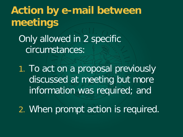**Action by e-mail between meetings** Only allowed in 2 specific circumstances: 1. To act on a proposal previously

discussed at meeting but more information was required; and

2. When prompt action is required.